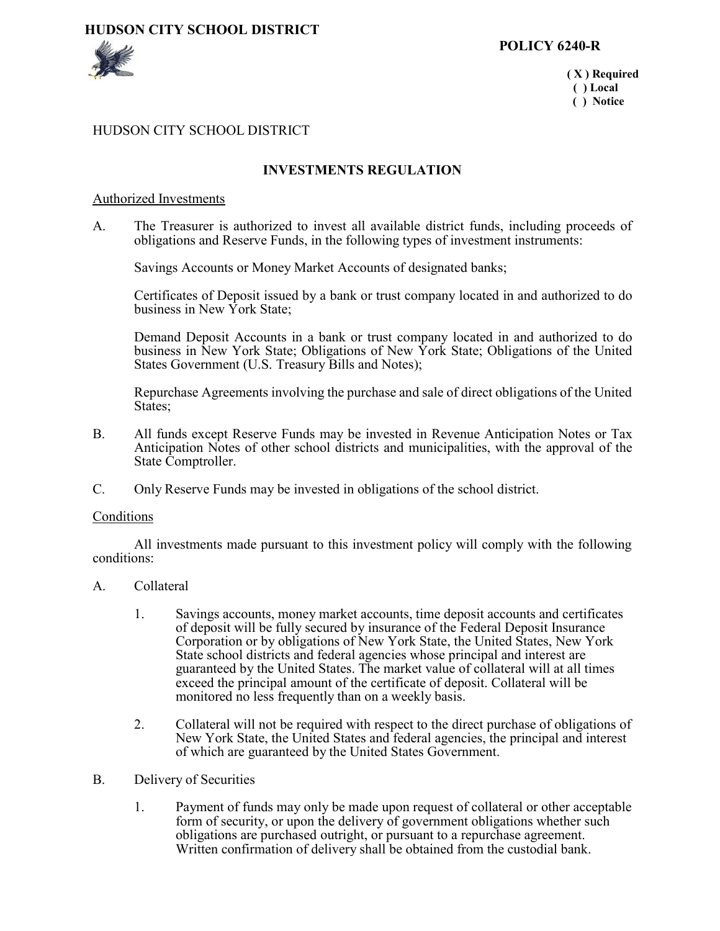# **HUDSON CITY SCHOOL DISTRICT**



 **( X ) Required ( ) Local ( ) Notice**

### HUDSON CITY SCHOOL DISTRICT

# **INVESTMENTS REGULATION**

### Authorized Investments

A. The Treasurer is authorized to invest all available district funds, including proceeds of obligations and Reserve Funds, in the following types of investment instruments:

Savings Accounts or Money Market Accounts of designated banks;

Certificates of Deposit issued by a bank or trust company located in and authorized to do business in New York State;

Demand Deposit Accounts in a bank or trust company located in and authorized to do business in New York State; Obligations of New York State; Obligations of the United States Government (U.S. Treasury Bills and Notes);

Repurchase Agreements involving the purchase and sale of direct obligations of the United States;

- B. All funds except Reserve Funds may be invested in Revenue Anticipation Notes or Tax Anticipation Notes of other school districts and municipalities, with the approval of the State Comptroller.
- C. Only Reserve Funds may be invested in obligations of the school district.

#### Conditions

All investments made pursuant to this investment policy will comply with the following conditions:

- A. Collateral
	- 1. Savings accounts, money market accounts, time deposit accounts and certificates of deposit will be fully secured by insurance of the Federal Deposit Insurance Corporation or by obligations of New York State, the United States, New York State school districts and federal agencies whose principal and interest are guaranteed by the United States. The market value of collateral will at all times exceed the principal amount of the certificate of deposit. Collateral will be monitored no less frequently than on a weekly basis.
	- 2. Collateral will not be required with respect to the direct purchase of obligations of New York State, the United States and federal agencies, the principal and interest of which are guaranteed by the United States Government.
- B. Delivery of Securities
	- 1. Payment of funds may only be made upon request of collateral or other acceptable form of security, or upon the delivery of government obligations whether such obligations are purchased outright, or pursuant to a repurchase agreement. Written confirmation of delivery shall be obtained from the custodial bank.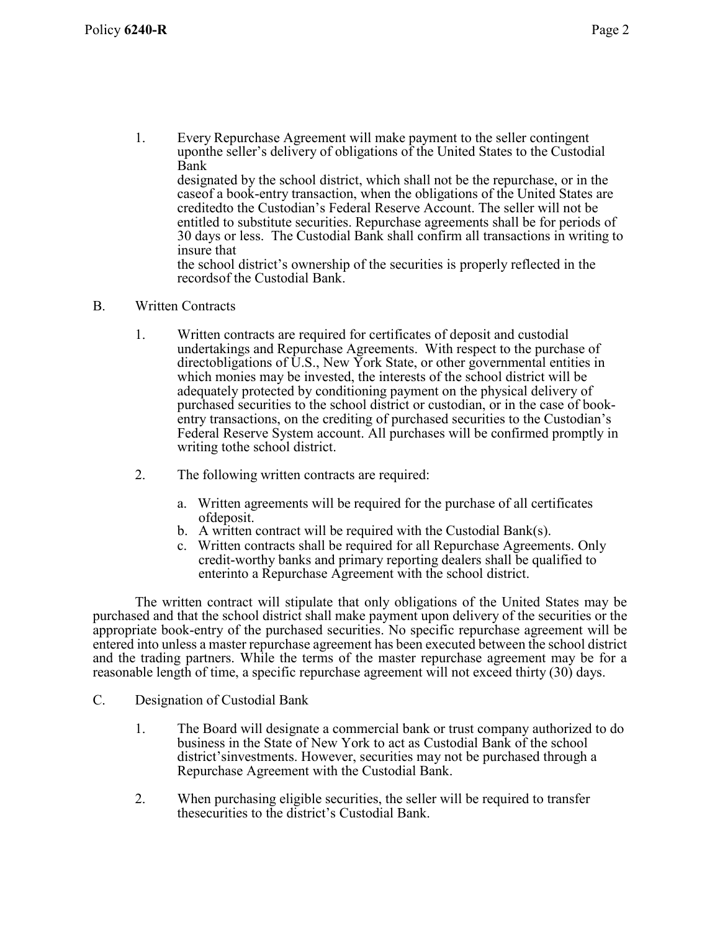1. Every Repurchase Agreement will make payment to the seller contingent uponthe seller's delivery of obligations of the United States to the Custodial Bank designated by the school district, which shall not be the repurchase, or in the

caseof a book-entry transaction, when the obligations of the United States are creditedto the Custodian's Federal Reserve Account. The seller will not be entitled to substitute securities. Repurchase agreements shall be for periods of 30 days or less. The Custodial Bank shall confirm all transactions in writing to insure that

the school district's ownership of the securities is properly reflected in the recordsof the Custodial Bank.

## B. Written Contracts

- 1. Written contracts are required for certificates of deposit and custodial undertakings and Repurchase Agreements. With respect to the purchase of directobligations of U.S., New York State, or other governmental entities in which monies may be invested, the interests of the school district will be adequately protected by conditioning payment on the physical delivery of purchased securities to the school district or custodian, or in the case of book entry transactions, on the crediting of purchased securities to the Custodian's Federal Reserve System account. All purchases will be confirmed promptly in writing tothe school district.
- 2. The following written contracts are required:
	- a. Written agreements will be required for the purchase of all certificates ofdeposit.
	- b. A written contract will be required with the Custodial Bank(s).
	- c. Written contracts shall be required for all Repurchase Agreements. Only credit-worthy banks and primary reporting dealers shall be qualified to enterinto a Repurchase Agreement with the school district.

The written contract will stipulate that only obligations of the United States may be purchased and that the school district shall make payment upon delivery of the securities or the appropriate book-entry of the purchased securities. No specific repurchase agreement will be entered into unless a master repurchase agreement has been executed between the school district and the trading partners. While the terms of the master repurchase agreement may be for a reasonable length of time, a specific repurchase agreement will not exceed thirty (30) days.

- C. Designation of Custodial Bank
	- 1. The Board will designate a commercial bank or trust company authorized to do business in the State of New York to act as Custodial Bank of the school district'sinvestments. However, securities may not be purchased through a Repurchase Agreement with the Custodial Bank.
	- 2. When purchasing eligible securities, the seller will be required to transfer thesecurities to the district's Custodial Bank.